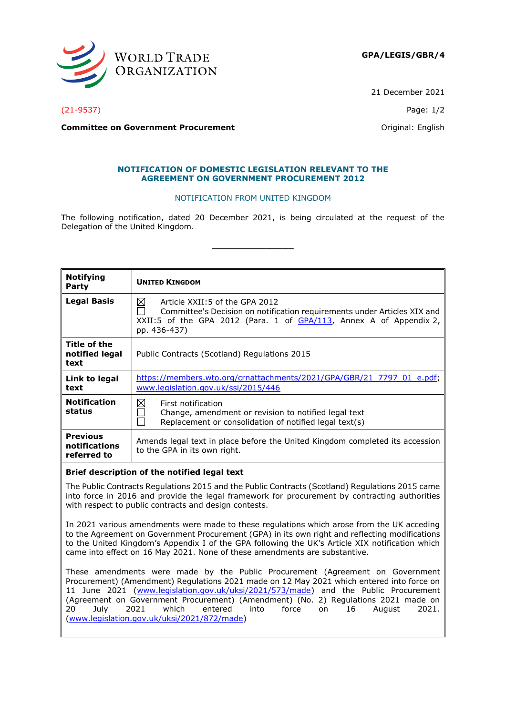

21 December 2021

(21-9537) Page: 1/2

**Committee on Government Procurement Committee on Government Procurement Committee on Government** 

## **NOTIFICATION OF DOMESTIC LEGISLATION RELEVANT TO THE AGREEMENT ON GOVERNMENT PROCUREMENT 2012**

## NOTIFICATION FROM UNITED KINGDOM

The following notification, dated 20 December 2021, is being circulated at the request of the Delegation of the United Kingdom.

**\_\_\_\_\_\_\_\_\_\_\_\_\_\_\_**

| <b>Notifying</b><br>Party                       | <b>UNITED KINGDOM</b>                                                                                                                                                                                    |
|-------------------------------------------------|----------------------------------------------------------------------------------------------------------------------------------------------------------------------------------------------------------|
| Legal Basis                                     | ⊠<br>Article XXII:5 of the GPA 2012<br>Committee's Decision on notification requirements under Articles XIX and<br>XXII:5 of the GPA 2012 (Para. 1 of $GPA/113$ , Annex A of Appendix 2,<br>pp. 436-437) |
| Title of the<br>notified legal<br>text          | Public Contracts (Scotland) Regulations 2015                                                                                                                                                             |
| Link to legal<br>text                           | https://members.wto.org/crnattachments/2021/GPA/GBR/21 7797 01 e.pdf;<br>www.legislation.gov.uk/ssi/2015/446                                                                                             |
| <b>Notification</b><br>status                   | $\boxtimes$<br>First notification<br>Change, amendment or revision to notified legal text<br>Replacement or consolidation of notified legal text(s)                                                      |
| <b>Previous</b><br>notifications<br>referred to | Amends legal text in place before the United Kingdom completed its accession<br>to the GPA in its own right.                                                                                             |

## **Brief description of the notified legal text**

The Public Contracts Regulations 2015 and the Public Contracts (Scotland) Regulations 2015 came into force in 2016 and provide the legal framework for procurement by contracting authorities with respect to public contracts and design contests.

In 2021 various amendments were made to these regulations which arose from the UK acceding to the Agreement on Government Procurement (GPA) in its own right and reflecting modifications to the United Kingdom's Appendix I of the GPA following the UK's Article XIX notification which came into effect on 16 May 2021. None of these amendments are substantive.

These amendments were made by the Public Procurement (Agreement on Government Procurement) (Amendment) Regulations 2021 made on 12 May 2021 which entered into force on 11 June 2021 [\(www.legislation.gov.uk/uksi/2021/573/made\)](https://www.legislation.gov.uk/uksi/2021/573/made) and the Public Procurement (Agreement on Government Procurement) (Amendment) (No. 2) Regulations 2021 made on 20 July 2021 which entered into force on 16 August 2021. [\(www.legislation.gov.uk/uksi/2021/872/made\)](http://www.legislation.gov.uk/uksi/2021/872/made)